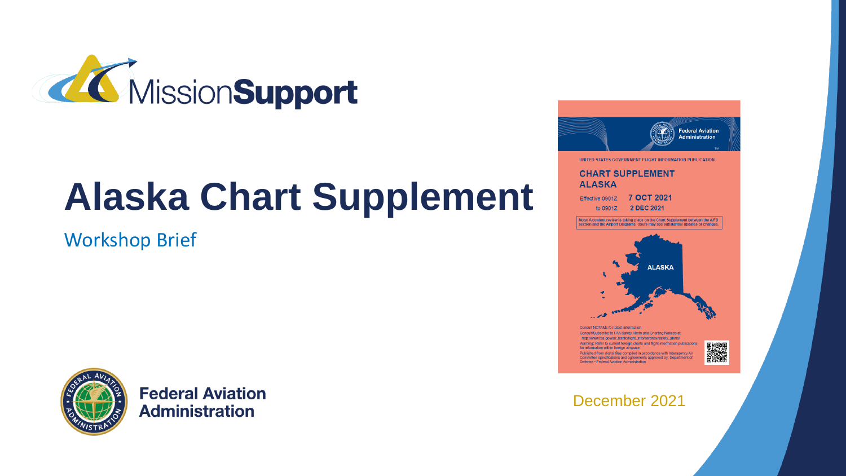

# **Alaska Chart Supplement**

Workshop Brief



**Federal Aviation Administration** 



#### December 2021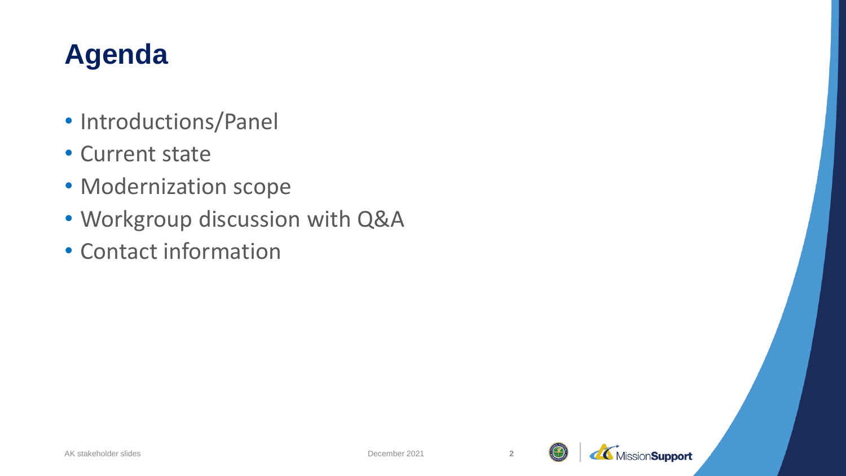### **Agenda**

- Introductions/Panel
- Current state
- Modernization scope
- Workgroup discussion with Q&A
- Contact information



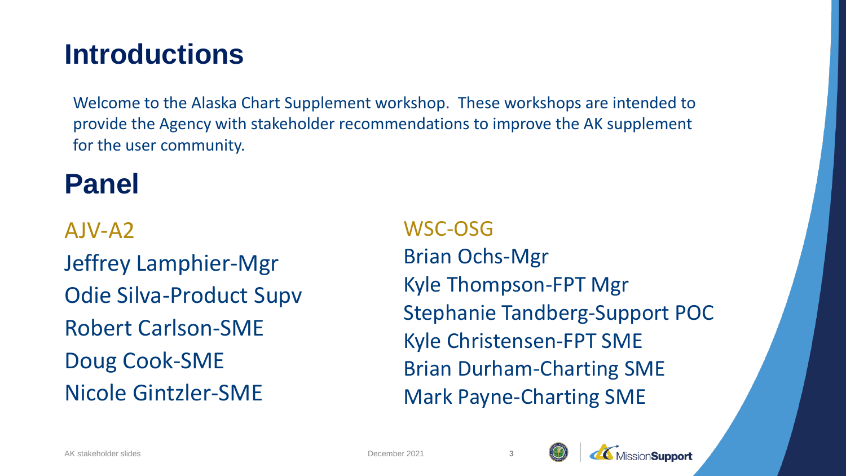#### **Introductions**

Welcome to the Alaska Chart Supplement workshop. These workshops are intended to provide the Agency with stakeholder recommendations to improve the AK supplement for the user community.

### **Panel**

AJV-A2 Jeffrey Lamphier-Mgr Odie Silva-Product Supv Robert Carlson-SME Doug Cook-SME Nicole Gintzler-SME

WSC-OSG Brian Ochs-Mgr Kyle Thompson-FPT Mgr Stephanie Tandberg-Support POC Kyle Christensen-FPT SME Brian Durham-Charting SME Mark Payne-Charting SME

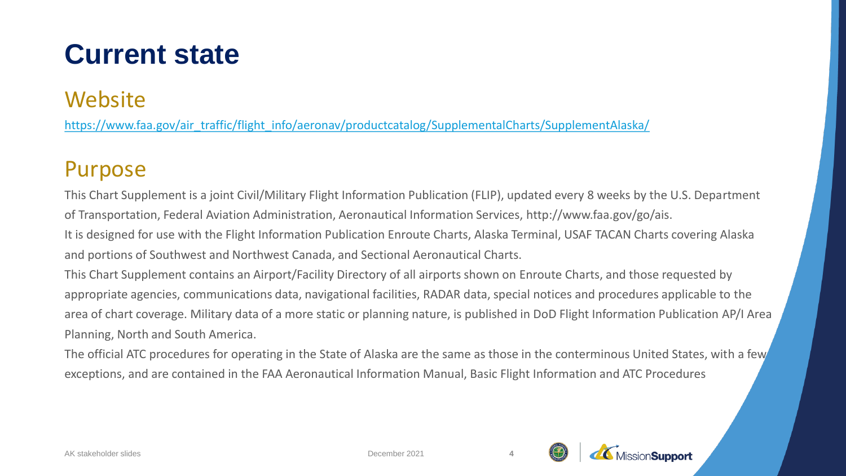#### **Website**

[https://www.faa.gov/air\\_traffic/flight\\_info/aeronav/productcatalog/SupplementalCharts/SupplementAlaska/](https://www.faa.gov/air_traffic/flight_info/aeronav/productcatalog/SupplementalCharts/SupplementAlaska/)

#### Purpose

This Chart Supplement is a joint Civil/Military Flight Information Publication (FLIP), updated every 8 weeks by the U.S. Department of Transportation, Federal Aviation Administration, Aeronautical Information Services, http://www.faa.gov/go/ais.

It is designed for use with the Flight Information Publication Enroute Charts, Alaska Terminal, USAF TACAN Charts covering Alaska and portions of Southwest and Northwest Canada, and Sectional Aeronautical Charts.

This Chart Supplement contains an Airport/Facility Directory of all airports shown on Enroute Charts, and those requested by appropriate agencies, communications data, navigational facilities, RADAR data, special notices and procedures applicable to the area of chart coverage. Military data of a more static or planning nature, is published in DoD Flight Information Publication AP/I Area Planning, North and South America.

The official ATC procedures for operating in the State of Alaska are the same as those in the conterminous United States, with a few exceptions, and are contained in the FAA Aeronautical Information Manual, Basic Flight Information and ATC Procedures



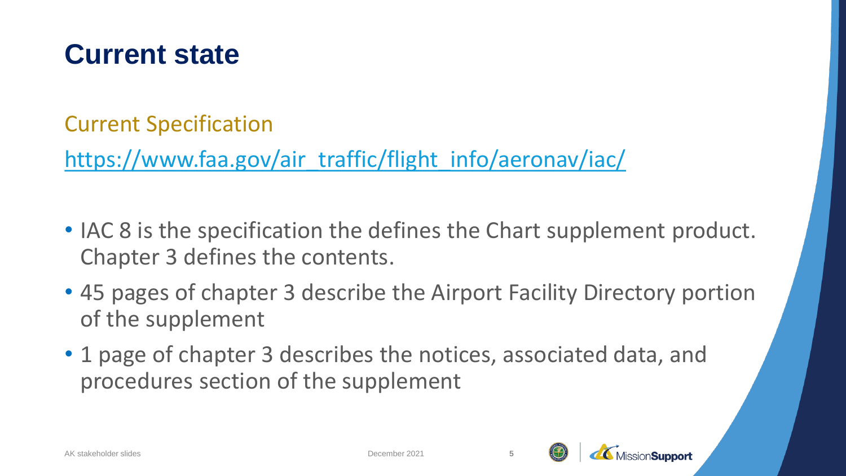Current Specification

[https://www.faa.gov/air\\_traffic/flight\\_info/aeronav/iac/](https://www.faa.gov/air_traffic/flight_info/aeronav/iac/)

- IAC 8 is the specification the defines the Chart supplement product. Chapter 3 defines the contents.
- 45 pages of chapter 3 describe the Airport Facility Directory portion of the supplement
- 1 page of chapter 3 describes the notices, associated data, and procedures section of the supplement



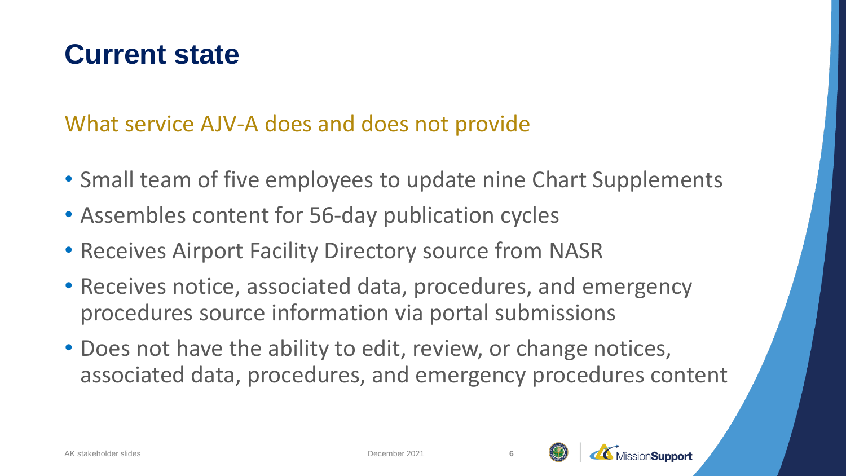What service AJV-A does and does not provide

- Small team of five employees to update nine Chart Supplements
- Assembles content for 56-day publication cycles
- Receives Airport Facility Directory source from NASR
- Receives notice, associated data, procedures, and emergency procedures source information via portal submissions
- Does not have the ability to edit, review, or change notices, associated data, procedures, and emergency procedures content

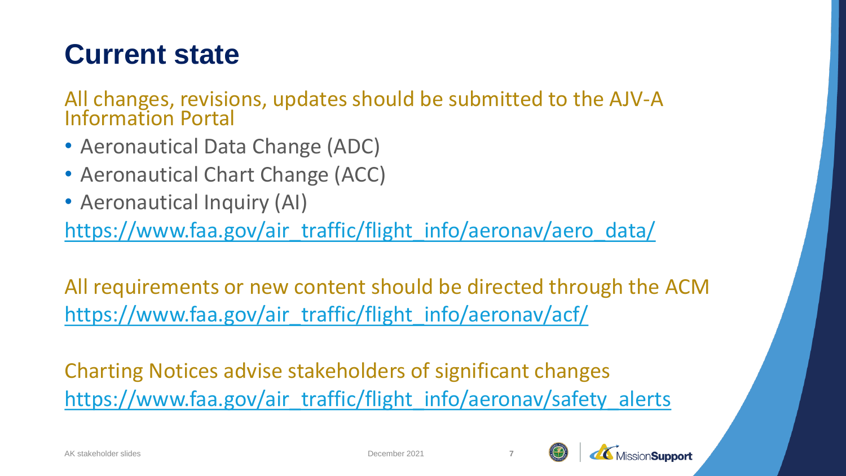All changes, revisions, updates should be submitted to the AJV-A Information Portal

- Aeronautical Data Change (ADC)
- Aeronautical Chart Change (ACC)
- Aeronautical Inquiry (AI)

[https://www.faa.gov/air\\_traffic/flight\\_info/aeronav/aero\\_data/](https://www.faa.gov/air_traffic/flight_info/aeronav/aero_data/)

All requirements or new content should be directed through the ACM [https://www.faa.gov/air\\_traffic/flight\\_info/aeronav/acf/](https://www.faa.gov/air_traffic/flight_info/aeronav/acf/)

Charting Notices advise stakeholders of significant changes [https://www.faa.gov/air\\_traffic/flight\\_info/aeronav/safety\\_alerts](https://www.faa.gov/air_traffic/flight_info/aeronav/safety_alerts/)



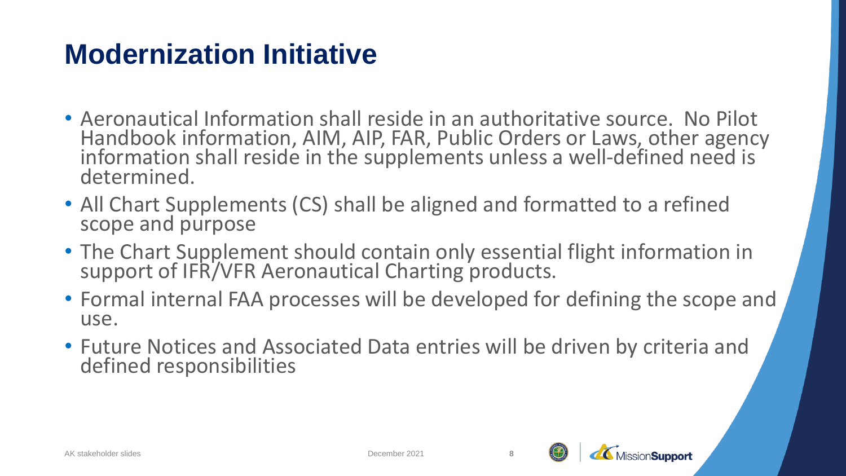- Aeronautical Information shall reside in an authoritative source. No Pilot Handbook information, AIM, AIP, FAR, Public Orders or Laws, other agency information shall reside in the supplements unless a well-defined need is determined.
- All Chart Supplements (CS) shall be aligned and formatted to a refined scope and purpose
- The Chart Supplement should contain only essential flight information in support of IFR/VFR Aeronautical Charting products.
- Formal internal FAA processes will be developed for defining the scope and use.
- Future Notices and Associated Data entries will be driven by criteria and defined responsibilities



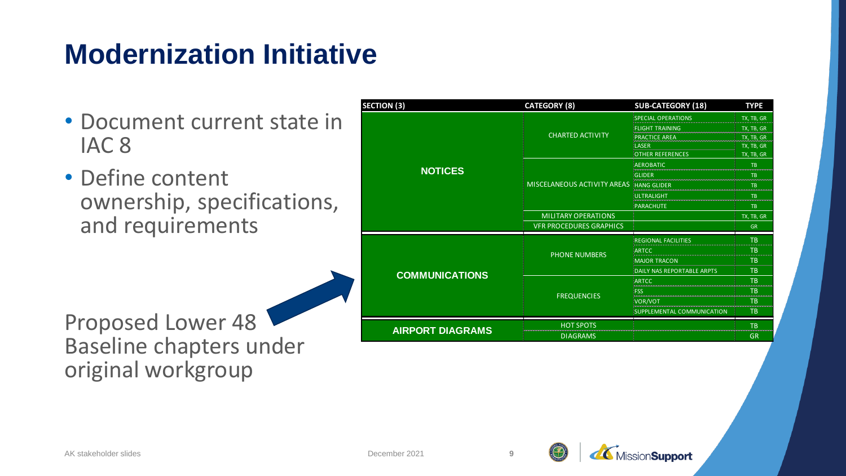- Document current state in IAC 8
- Define content ownership, specifications, and requirements

Proposed Lower 48 Baseline chapters under original workgroup

| <b>SECTION (3)</b>      | <b>CATEGORY (8)</b>            | <b>SUB-CATEGORY (18)</b>   | <b>TYPE</b> |
|-------------------------|--------------------------------|----------------------------|-------------|
| <b>NOTICES</b>          | <b>CHARTED ACTIVITY</b>        | <b>SPECIAL OPERATIONS</b>  | TX, TB, GR  |
|                         |                                | <b>FLIGHT TRAINING</b>     | TX, TB, GR  |
|                         |                                | <b>PRACTICE AREA</b>       | TX, TB, GR  |
|                         |                                | LASER                      | TX, TB, GR  |
|                         |                                | <b>OTHER REFERENCES</b>    | TX, TB, GR  |
|                         | MISCELANEOUS ACTIVITY AREAS    | <b>AEROBATIC</b>           | <b>TB</b>   |
|                         |                                | GLIDER                     | <b>TB</b>   |
|                         |                                | <b>HANG GLIDER</b>         | <b>TB</b>   |
|                         |                                | ULTRALIGHT                 | <b>TB</b>   |
|                         |                                | PARACHUTE                  | <b>TB</b>   |
|                         | <b>MILITARY OPERATIONS</b>     |                            | TX, TB, GR  |
|                         | <b>VFR PROCEDURES GRAPHICS</b> |                            | <b>GR</b>   |
| <b>COMMUNICATIONS</b>   | <b>PHONE NUMBERS</b>           | <b>REGIONAL FACILITIES</b> | <b>TB</b>   |
|                         |                                | <b>ARTCC</b>               | <b>TB</b>   |
|                         |                                | <b>MAJOR TRACON</b>        | <b>TB</b>   |
|                         |                                | DAILY NAS REPORTABLE ARPTS | <b>TB</b>   |
|                         | <b>FREQUENCIES</b>             | ARTCC                      | <b>TB</b>   |
|                         |                                | <b>FSS</b>                 | <b>TB</b>   |
|                         |                                | VOR/VOT                    | <b>TB</b>   |
|                         |                                | SUPPLEMENTAL COMMUNICATION | <b>TB</b>   |
| <b>AIRPORT DIAGRAMS</b> | <b>HOT SPOTS</b>               |                            | <b>TB</b>   |
|                         | <b>DIAGRAMS</b>                |                            | <b>GR</b>   |

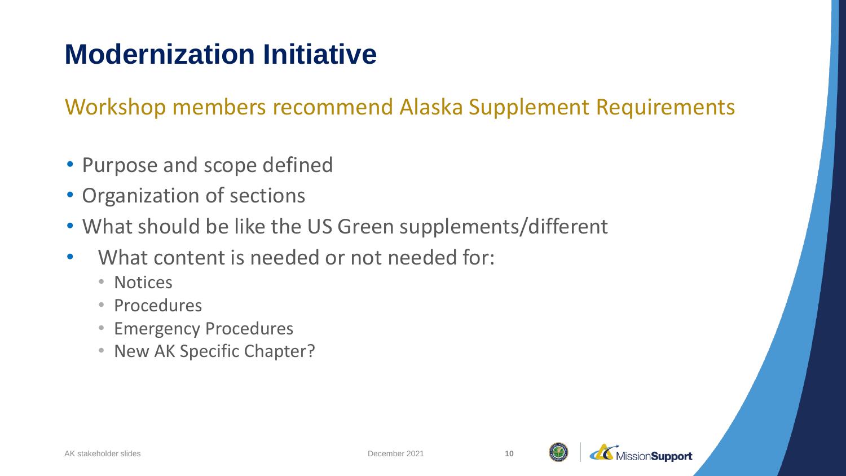Workshop members recommend Alaska Supplement Requirements

- Purpose and scope defined
- Organization of sections
- What should be like the US Green supplements/different
- What content is needed or not needed for:
	- Notices
	- Procedures
	- Emergency Procedures
	- New AK Specific Chapter?

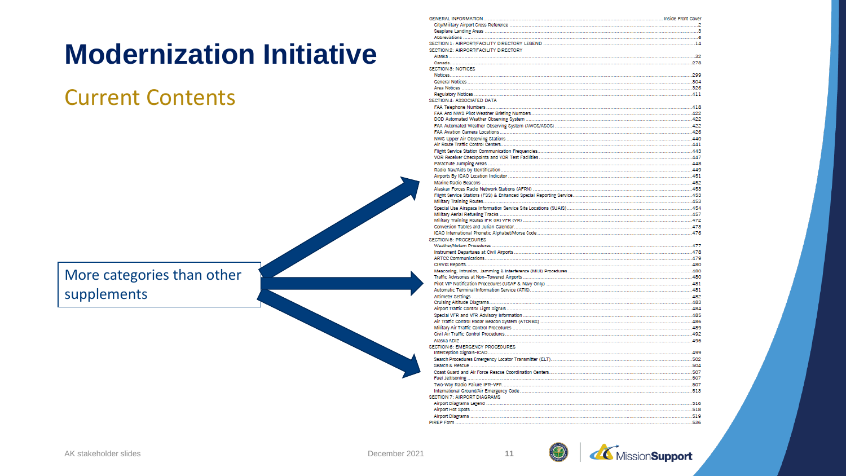#### Current Contents

More categories than other supplements

| SECTION 7: AIRPORT DIAGRAMS           |  |
|---------------------------------------|--|
|                                       |  |
|                                       |  |
|                                       |  |
|                                       |  |
|                                       |  |
|                                       |  |
| SECTION 6: EMERGENCY PROCEDURES       |  |
|                                       |  |
|                                       |  |
|                                       |  |
|                                       |  |
|                                       |  |
|                                       |  |
|                                       |  |
|                                       |  |
|                                       |  |
|                                       |  |
|                                       |  |
|                                       |  |
|                                       |  |
|                                       |  |
| <b>SECTION 5: PROCEDURES</b>          |  |
|                                       |  |
|                                       |  |
|                                       |  |
|                                       |  |
|                                       |  |
|                                       |  |
|                                       |  |
|                                       |  |
|                                       |  |
|                                       |  |
|                                       |  |
|                                       |  |
|                                       |  |
|                                       |  |
|                                       |  |
|                                       |  |
|                                       |  |
|                                       |  |
|                                       |  |
|                                       |  |
| SECTION 4: ASSOCIATED DATA            |  |
|                                       |  |
|                                       |  |
|                                       |  |
| <b>SECTION 3: NOTICES</b>             |  |
|                                       |  |
|                                       |  |
| SECTION 2: AIRPORT/FACILITY DIRECTORY |  |
|                                       |  |
|                                       |  |
|                                       |  |
|                                       |  |
|                                       |  |



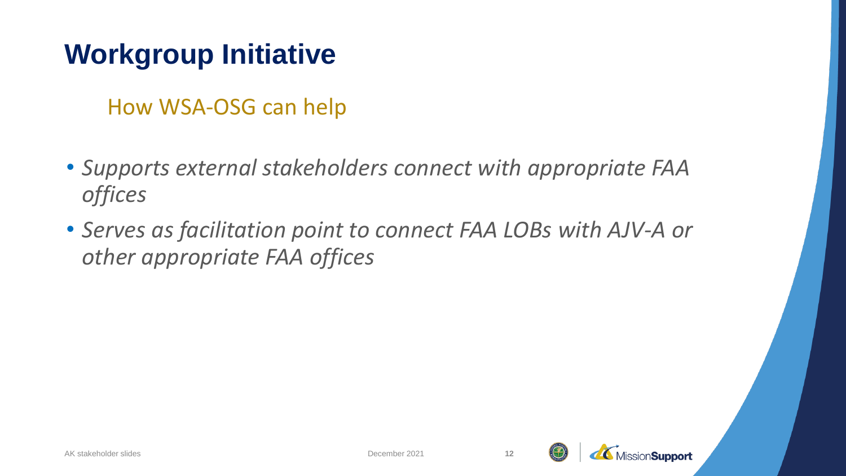### **Workgroup Initiative**

How WSA-OSG can help

- *Supports external stakeholders connect with appropriate FAA offices*
- *Serves as facilitation point to connect FAA LOBs with AJV-A or other appropriate FAA offices*



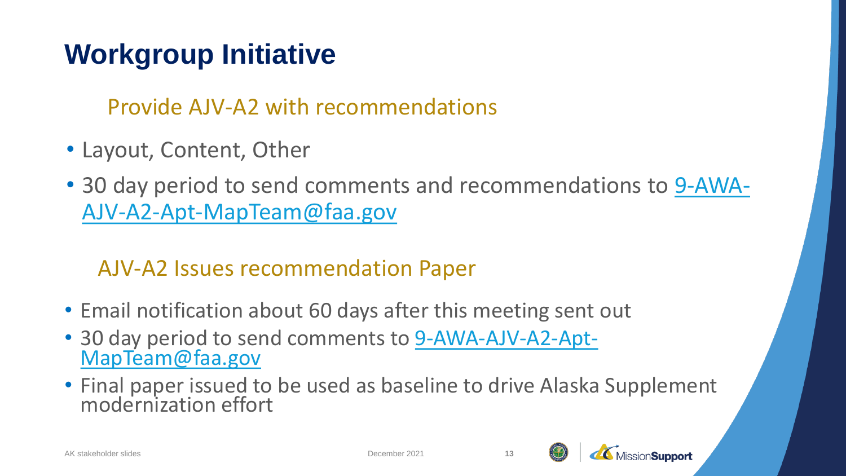## **Workgroup Initiative**

Provide AJV-A2 with recommendations

- Layout, Content, Other
- [30 day period to send comments and recommendations to 9-AWA-](mailto:9-AWA-AJV-A2-Apt-MapTeam@faa.gov)AJV-A2-Apt-MapTeam@faa.gov

#### AJV-A2 Issues recommendation Paper

- Email notification about 60 days after this meeting sent out
- [30 day period to send comments to 9-AWA-AJV-A2-Apt-](mailto:9-AWA-AJV-A2-Apt-MapTeam@faa.gov)MapTeam@faa.gov
- Final paper issued to be used as baseline to drive Alaska Supplement modernization effort



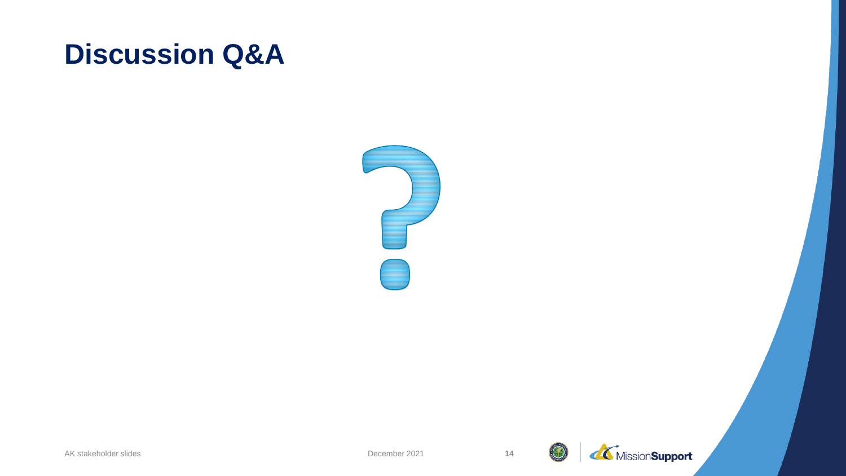#### **Discussion Q&A**



 $f(\cdot)$